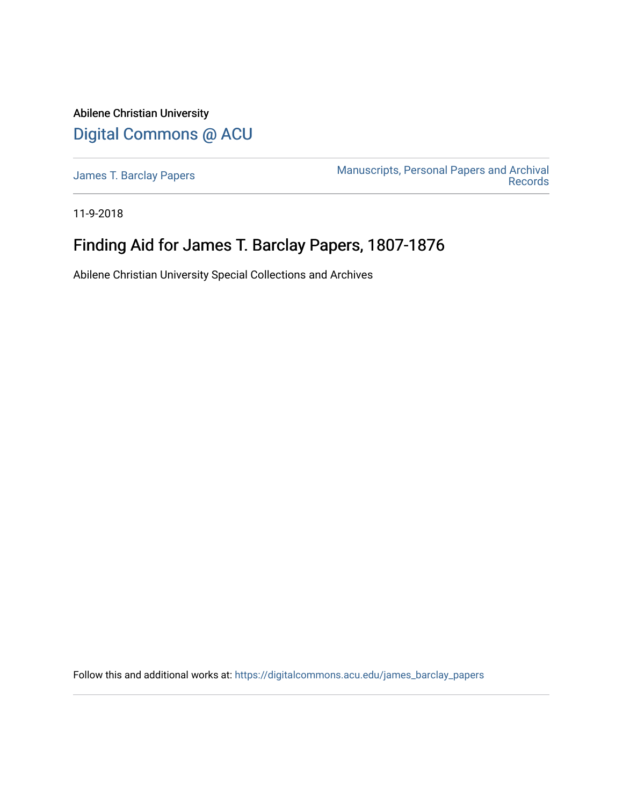Abilene Christian University [Digital Commons @ ACU](https://digitalcommons.acu.edu/)

[James T. Barclay Papers](https://digitalcommons.acu.edu/james_barclay_papers) [Manuscripts, Personal Papers and Archival](https://digitalcommons.acu.edu/crs_manuscripts_papers)  [Records](https://digitalcommons.acu.edu/crs_manuscripts_papers) 

11-9-2018

# Finding Aid for James T. Barclay Papers, 1807-1876

Abilene Christian University Special Collections and Archives

Follow this and additional works at: [https://digitalcommons.acu.edu/james\\_barclay\\_papers](https://digitalcommons.acu.edu/james_barclay_papers?utm_source=digitalcommons.acu.edu%2Fjames_barclay_papers%2F3&utm_medium=PDF&utm_campaign=PDFCoverPages)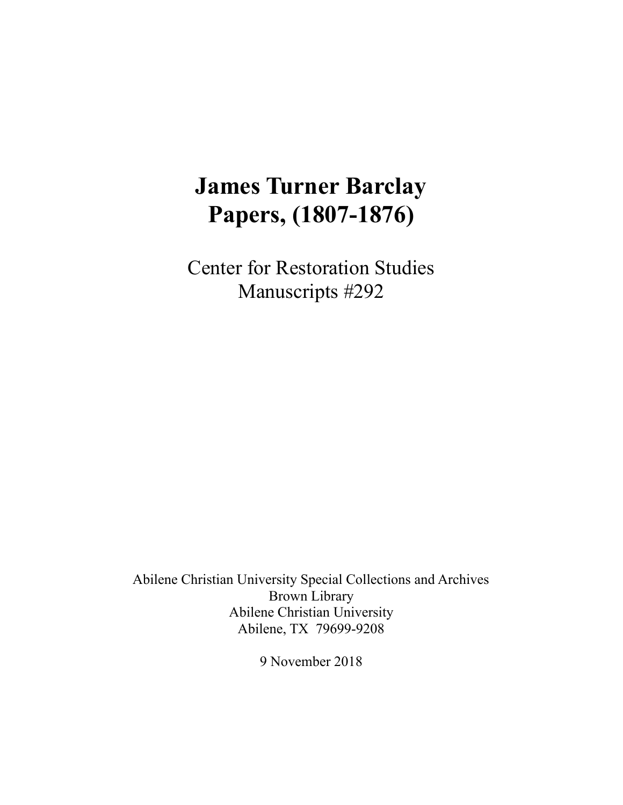# **James Turner Barclay Papers, (1807-1876)**

Center for Restoration Studies Manuscripts #292

Abilene Christian University Special Collections and Archives Brown Library Abilene Christian University Abilene, TX 79699-9208

9 November 2018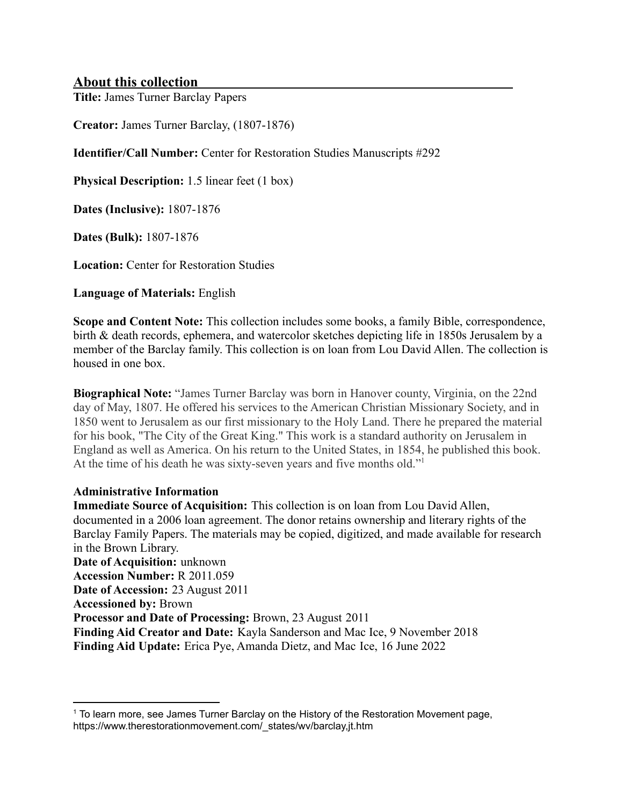#### **About this collection**

**Title:** James Turner Barclay Papers

**Creator:** James Turner Barclay, (1807-1876)

**Identifier/Call Number:** Center for Restoration Studies Manuscripts #292

**Physical Description:** 1.5 linear feet (1 box)

**Dates (Inclusive):** 1807-1876

**Dates (Bulk):** 1807-1876

**Location:** Center for Restoration Studies

**Language of Materials:** English

**Scope and Content Note:** This collection includes some books, a family Bible, correspondence, birth & death records, ephemera, and watercolor sketches depicting life in 1850s Jerusalem by a member of the Barclay family. This collection is on loan from Lou David Allen. The collection is housed in one box.

**Biographical Note:** "James Turner Barclay was born in Hanover county, Virginia, on the 22nd day of May, 1807. He offered his services to the American Christian Missionary Society, and in 1850 went to Jerusalem as our first missionary to the Holy Land. There he prepared the material for his book, "The City of the Great King." This work is a standard authority on Jerusalem in England as well as America. On his return to the United States, in 1854, he published this book. At the time of his death he was sixty-seven years and five months old."<sup>1</sup>

#### **Administrative Information**

**Immediate Source of Acquisition:** This collection is on loan from Lou David Allen, documented in a 2006 loan agreement. The donor retains ownership and literary rights of the Barclay Family Papers. The materials may be copied, digitized, and made available for research in the Brown Library. **Date of Acquisition:** unknown **Accession Number:** R 2011.059 **Date of Accession:** 23 August 2011 **Accessioned by:** Brown **Processor and Date of Processing:** Brown, 23 August 2011 **Finding Aid Creator and Date:** Kayla Sanderson and Mac Ice, 9 November 2018 **Finding Aid Update:** Erica Pye, Amanda Dietz, and Mac Ice, 16 June 2022

<sup>&</sup>lt;sup>1</sup> To learn more, see James Turner Barclay on the History of the Restoration Movement page, https://www.therestorationmovement.com/\_states/wv/barclay,jt.htm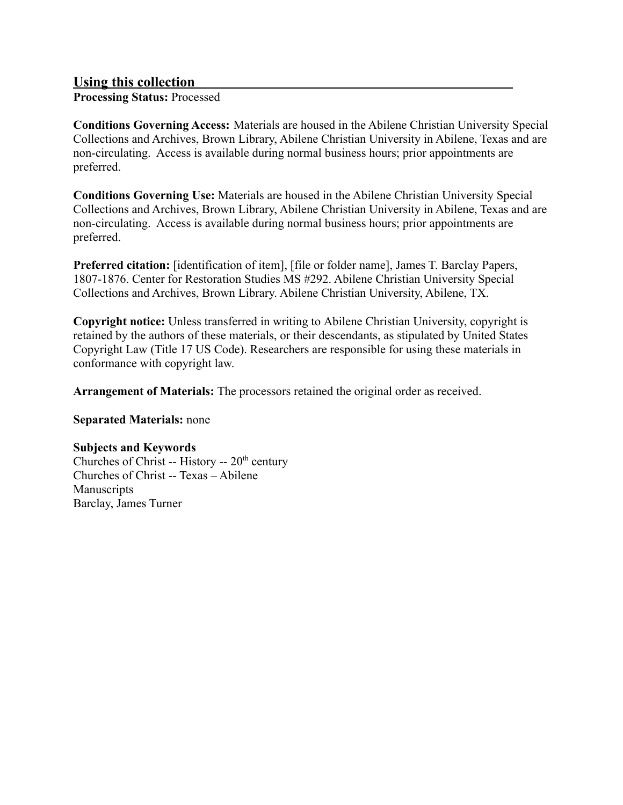## **Using this collection**

**Processing Status:** Processed

**Conditions Governing Access:** Materials are housed in the Abilene Christian University Special Collections and Archives, Brown Library, Abilene Christian University in Abilene, Texas and are non-circulating. Access is available during normal business hours; prior appointments are preferred.

**Conditions Governing Use:** Materials are housed in the Abilene Christian University Special Collections and Archives, Brown Library, Abilene Christian University in Abilene, Texas and are non-circulating. Access is available during normal business hours; prior appointments are preferred.

**Preferred citation:** [identification of item], [file or folder name], James T. Barclay Papers, 1807-1876. Center for Restoration Studies MS #292. Abilene Christian University Special Collections and Archives, Brown Library. Abilene Christian University, Abilene, TX.

**Copyright notice:** Unless transferred in writing to Abilene Christian University, copyright is retained by the authors of these materials, or their descendants, as stipulated by United States Copyright Law (Title 17 US Code). Researchers are responsible for using these materials in conformance with copyright law.

**Arrangement of Materials:** The processors retained the original order as received.

**Separated Materials:** none

#### **Subjects and Keywords**

Churches of Christ -- History --  $20<sup>th</sup>$  century Churches of Christ -- Texas – Abilene **Manuscripts** Barclay, James Turner